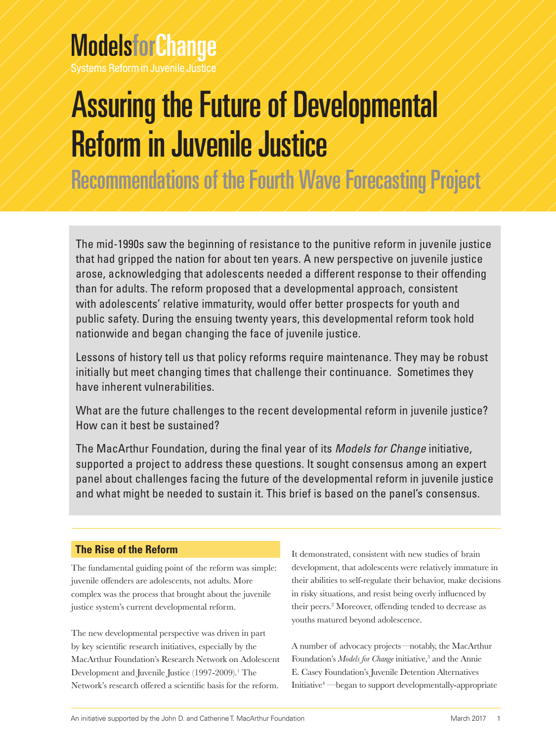# **ModelsforChange**

Systems Reform in Juvenile Justice

# Assuring the Future of Developmental Reform in Juvenile Justice

Recommendations of the Fourth Wave Forecasting Project

The mid-1990s saw the beginning of resistance to the punitive reform in juvenile justice that had gripped the nation for about ten years. A new perspective on juvenile justice arose, acknowledging that adolescents needed a different response to their offending than for adults. The reform proposed that a developmental approach, consistent with adolescents' relative immaturity, would offer better prospects for youth and public safety. During the ensuing twenty years, this developmental reform took hold nationwide and began changing the face of juvenile justice.

Lessons of history tell us that policy reforms require maintenance. They may be robust initially but meet changing times that challenge their continuance. Sometimes they have inherent vulnerabilities.

What are the future challenges to the recent developmental reform in juvenile justice? How can it best be sustained?

The MacArthur Foundation, during the final year of its *Models for Change* initiative, supported a project to address these questions. It sought consensus among an expert panel about challenges facing the future of the developmental reform in juvenile justice and what might be needed to sustain it. This brief is based on the panel's consensus.

## **The Rise of the Reform**

The fundamental guiding point of the reform was simple: juvenile offenders are adolescents, not adults. More complex was the process that brought about the juvenile justice system's current developmental reform.

The new developmental perspective was driven in part by key scientific research initiatives, especially by the MacArthur Foundation's Research Network on Adolescent Development and Juvenile Justice (1997-2009).<sup>1</sup> The Network's research offered a scientific basis for the reform.

It demonstrated, consistent with new studies of brain development, that adolescents were relatively immature in their abilities to self-regulate their behavior, make decisions in risky situations, and resist being overly influenced by their peers.<sup>2</sup> Moreover, offending tended to decrease as youths matured beyond adolescence.

A number of advocacy projects—notably, the MacArthur Foundation's *Models for Change* initiative,<sup>3</sup> and the Annie E. Casey Foundation's Juvenile Detention Alternatives Initiative4 —began to support developmentally-appropriate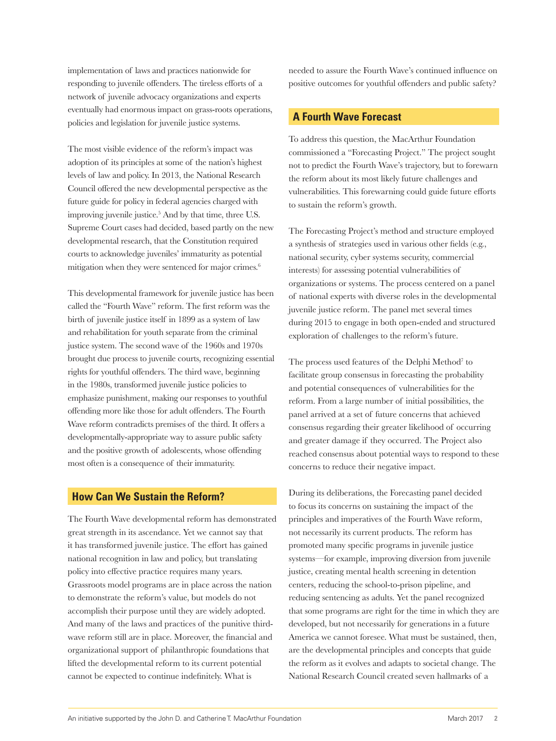implementation of laws and practices nationwide for responding to juvenile offenders. The tireless efforts of a network of juvenile advocacy organizations and experts eventually had enormous impact on grass-roots operations, policies and legislation for juvenile justice systems.

The most visible evidence of the reform's impact was adoption of its principles at some of the nation's highest levels of law and policy. In 2013, the National Research Council offered the new developmental perspective as the future guide for policy in federal agencies charged with improving juvenile justice.<sup>5</sup> And by that time, three U.S. Supreme Court cases had decided, based partly on the new developmental research, that the Constitution required courts to acknowledge juveniles' immaturity as potential mitigation when they were sentenced for major crimes.<sup>6</sup>

This developmental framework for juvenile justice has been called the "Fourth Wave" reform. The first reform was the birth of juvenile justice itself in 1899 as a system of law and rehabilitation for youth separate from the criminal justice system. The second wave of the 1960s and 1970s brought due process to juvenile courts, recognizing essential rights for youthful offenders. The third wave, beginning in the 1980s, transformed juvenile justice policies to emphasize punishment, making our responses to youthful offending more like those for adult offenders. The Fourth Wave reform contradicts premises of the third. It offers a developmentally-appropriate way to assure public safety and the positive growth of adolescents, whose offending most often is a consequence of their immaturity.

## **How Can We Sustain the Reform?**

The Fourth Wave developmental reform has demonstrated great strength in its ascendance. Yet we cannot say that it has transformed juvenile justice. The effort has gained national recognition in law and policy, but translating policy into effective practice requires many years. Grassroots model programs are in place across the nation to demonstrate the reform's value, but models do not accomplish their purpose until they are widely adopted. And many of the laws and practices of the punitive thirdwave reform still are in place. Moreover, the financial and organizational support of philanthropic foundations that lifted the developmental reform to its current potential cannot be expected to continue indefinitely. What is

needed to assure the Fourth Wave's continued influence on positive outcomes for youthful offenders and public safety?

## **A Fourth Wave Forecast**

To address this question, the MacArthur Foundation commissioned a "Forecasting Project." The project sought not to predict the Fourth Wave's trajectory, but to forewarn the reform about its most likely future challenges and vulnerabilities. This forewarning could guide future efforts to sustain the reform's growth.

The Forecasting Project's method and structure employed a synthesis of strategies used in various other fields (e.g., national security, cyber systems security, commercial interests) for assessing potential vulnerabilities of organizations or systems. The process centered on a panel of national experts with diverse roles in the developmental juvenile justice reform. The panel met several times during 2015 to engage in both open-ended and structured exploration of challenges to the reform's future.

The process used features of the Delphi Method<sup>7</sup> to facilitate group consensus in forecasting the probability and potential consequences of vulnerabilities for the reform. From a large number of initial possibilities, the panel arrived at a set of future concerns that achieved consensus regarding their greater likelihood of occurring and greater damage if they occurred. The Project also reached consensus about potential ways to respond to these concerns to reduce their negative impact.

During its deliberations, the Forecasting panel decided to focus its concerns on sustaining the impact of the principles and imperatives of the Fourth Wave reform, not necessarily its current products. The reform has promoted many specific programs in juvenile justice systems—for example, improving diversion from juvenile justice, creating mental health screening in detention centers, reducing the school-to-prison pipeline, and reducing sentencing as adults. Yet the panel recognized that some programs are right for the time in which they are developed, but not necessarily for generations in a future America we cannot foresee. What must be sustained, then, are the developmental principles and concepts that guide the reform as it evolves and adapts to societal change. The National Research Council created seven hallmarks of a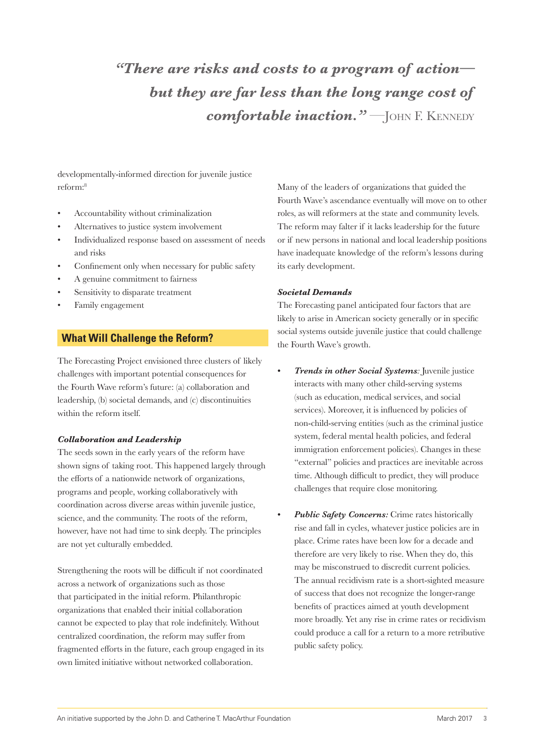*"There are risks and costs to a program of action but they are far less than the long range cost of comfortable inaction.*" - JOHN F. KENNEDY

developmentally-informed direction for juvenile justice reform:<sup>8</sup>

- Accountability without criminalization
- Alternatives to justice system involvement
- Individualized response based on assessment of needs and risks
- Confinement only when necessary for public safety
- A genuine commitment to fairness
- Sensitivity to disparate treatment
- Family engagement

### **What Will Challenge the Reform?**

The Forecasting Project envisioned three clusters of likely challenges with important potential consequences for the Fourth Wave reform's future: (a) collaboration and leadership, (b) societal demands, and (c) discontinuities within the reform itself.

#### *Collaboration and Leadership*

The seeds sown in the early years of the reform have shown signs of taking root. This happened largely through the efforts of a nationwide network of organizations, programs and people, working collaboratively with coordination across diverse areas within juvenile justice, science, and the community. The roots of the reform, however, have not had time to sink deeply. The principles are not yet culturally embedded.

Strengthening the roots will be difficult if not coordinated across a network of organizations such as those that participated in the initial reform. Philanthropic organizations that enabled their initial collaboration cannot be expected to play that role indefinitely. Without centralized coordination, the reform may suffer from fragmented efforts in the future, each group engaged in its own limited initiative without networked collaboration.

Many of the leaders of organizations that guided the Fourth Wave's ascendance eventually will move on to other roles, as will reformers at the state and community levels. The reform may falter if it lacks leadership for the future or if new persons in national and local leadership positions have inadequate knowledge of the reform's lessons during its early development.

#### *Societal Demands*

The Forecasting panel anticipated four factors that are likely to arise in American society generally or in specific social systems outside juvenile justice that could challenge the Fourth Wave's growth.

- *• Trends in other Social Systems:* Juvenile justice interacts with many other child-serving systems (such as education, medical services, and social services). Moreover, it is influenced by policies of non-child-serving entities (such as the criminal justice system, federal mental health policies, and federal immigration enforcement policies). Changes in these "external" policies and practices are inevitable across time. Although difficult to predict, they will produce challenges that require close monitoring.
- *• Public Safety Concerns:* Crime rates historically rise and fall in cycles, whatever justice policies are in place. Crime rates have been low for a decade and therefore are very likely to rise. When they do, this may be misconstrued to discredit current policies. The annual recidivism rate is a short-sighted measure of success that does not recognize the longer-range benefits of practices aimed at youth development more broadly. Yet any rise in crime rates or recidivism could produce a call for a return to a more retributive public safety policy.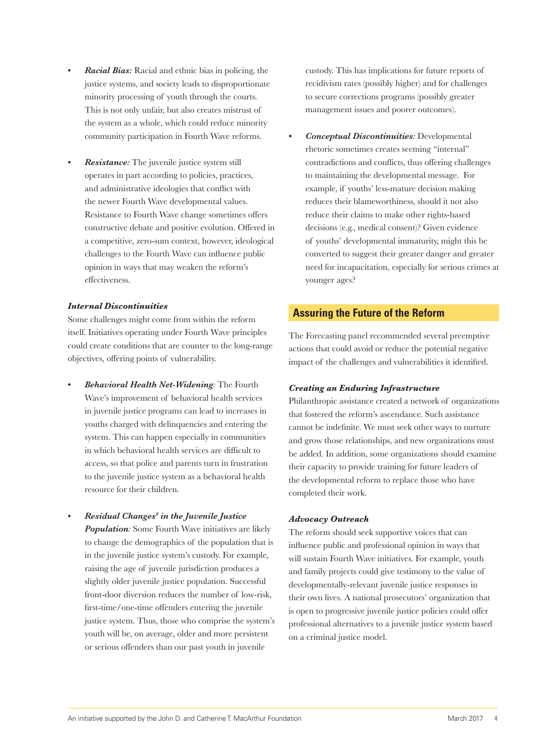- *• Racial Bias:* Racial and ethnic bias in policing, the justice systems, and society leads to disproportionate minority processing of youth through the courts. This is not only unfair, but also creates mistrust of the system as a whole, which could reduce minority community participation in Fourth Wave reforms.
- *• Resistance:* The juvenile justice system still operates in part according to policies, practices, and administrative ideologies that conflict with the newer Fourth Wave developmental values. Resistance to Fourth Wave change sometimes offers constructive debate and positive evolution. Offered in a competitive, zero-sum context, however, ideological challenges to the Fourth Wave can influence public opinion in ways that may weaken the reform's effectiveness.

#### *Internal Discontinuities*

Some challenges might come from within the reform itself. Initiatives operating under Fourth Wave principles could create conditions that are counter to the long-range objectives, offering points of vulnerability.

- *• Behavioral Health Net-Widening:* The Fourth Wave's improvement of behavioral health services in juvenile justice programs can lead to increases in youths charged with delinquencies and entering the system. This can happen especially in communities in which behavioral health services are difficult to access, so that police and parents turn in frustration to the juvenile justice system as a behavioral health resource for their children.
- *• Residual Changes9 in the Juvenile Justice*

*Population:* Some Fourth Wave initiatives are likely to change the demographics of the population that is in the juvenile justice system's custody. For example, raising the age of juvenile jurisdiction produces a slightly older juvenile justice population. Successful front-door diversion reduces the number of low-risk, first-time/one-time offenders entering the juvenile justice system. Thus, those who comprise the system's youth will be, on average, older and more persistent or serious offenders than our past youth in juvenile

custody. This has implications for future reports of recidivism rates (possibly higher) and for challenges to secure corrections programs (possibly greater management issues and poorer outcomes).

*• Conceptual Discontinuities:* Developmental rhetoric sometimes creates seeming "internal" contradictions and conflicts, thus offering challenges to maintaining the developmental message. For example, if youths' less-mature decision making reduces their blameworthiness, should it not also reduce their claims to make other rights-based decisions (e.g., medical consent)? Given evidence of youths' developmental immaturity, might this be converted to suggest their greater danger and greater need for incapacitation, especially for serious crimes at younger ages?

## **Assuring the Future of the Reform**

The Forecasting panel recommended several preemptive actions that could avoid or reduce the potential negative impact of the challenges and vulnerabilities it identified.

#### *Creating an Enduring Infrastructure*

Philanthropic assistance created a network of organizations that fostered the reform's ascendance. Such assistance cannot be indefinite. We must seek other ways to nurture and grow those relationships, and new organizations must be added. In addition, some organizations should examine their capacity to provide training for future leaders of the developmental reform to replace those who have completed their work.

#### *Advocacy Outreach*

The reform should seek supportive voices that can influence public and professional opinion in ways that will sustain Fourth Wave initiatives. For example, youth and family projects could give testimony to the value of developmentally-relevant juvenile justice responses in their own lives. A national prosecutors' organization that is open to progressive juvenile justice policies could offer professional alternatives to a juvenile justice system based on a criminal justice model.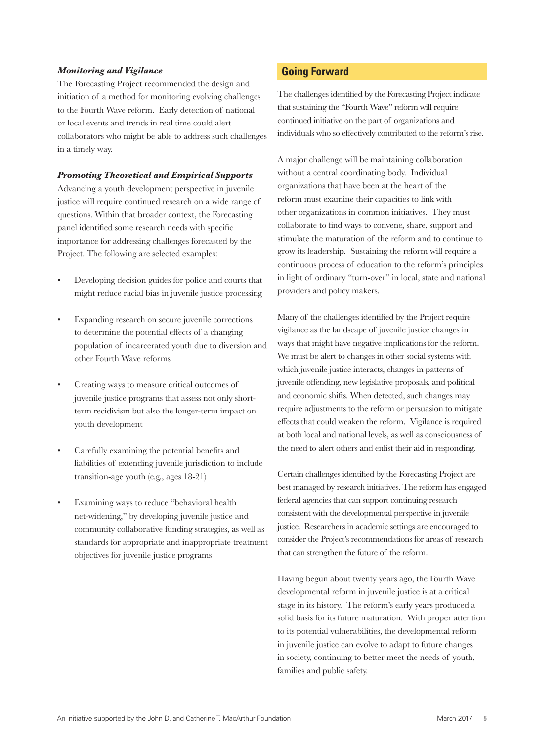#### *Monitoring and Vigilance*

The Forecasting Project recommended the design and initiation of a method for monitoring evolving challenges to the Fourth Wave reform. Early detection of national or local events and trends in real time could alert collaborators who might be able to address such challenges in a timely way.

#### *Promoting Theoretical and Empirical Supports*

Advancing a youth development perspective in juvenile justice will require continued research on a wide range of questions. Within that broader context, the Forecasting panel identified some research needs with specific importance for addressing challenges forecasted by the Project. The following are selected examples:

- Developing decision guides for police and courts that might reduce racial bias in juvenile justice processing
- Expanding research on secure juvenile corrections to determine the potential effects of a changing population of incarcerated youth due to diversion and other Fourth Wave reforms
- Creating ways to measure critical outcomes of juvenile justice programs that assess not only shortterm recidivism but also the longer-term impact on youth development
- Carefully examining the potential benefits and liabilities of extending juvenile jurisdiction to include transition-age youth (e.g., ages 18-21)
- Examining ways to reduce "behavioral health net-widening," by developing juvenile justice and community collaborative funding strategies, as well as standards for appropriate and inappropriate treatment objectives for juvenile justice programs

## **Going Forward**

The challenges identified by the Forecasting Project indicate that sustaining the "Fourth Wave" reform will require continued initiative on the part of organizations and individuals who so effectively contributed to the reform's rise.

A major challenge will be maintaining collaboration without a central coordinating body. Individual organizations that have been at the heart of the reform must examine their capacities to link with other organizations in common initiatives. They must collaborate to find ways to convene, share, support and stimulate the maturation of the reform and to continue to grow its leadership. Sustaining the reform will require a continuous process of education to the reform's principles in light of ordinary "turn-over" in local, state and national providers and policy makers.

Many of the challenges identified by the Project require vigilance as the landscape of juvenile justice changes in ways that might have negative implications for the reform. We must be alert to changes in other social systems with which juvenile justice interacts, changes in patterns of juvenile offending, new legislative proposals, and political and economic shifts. When detected, such changes may require adjustments to the reform or persuasion to mitigate effects that could weaken the reform. Vigilance is required at both local and national levels, as well as consciousness of the need to alert others and enlist their aid in responding.

Certain challenges identified by the Forecasting Project are best managed by research initiatives. The reform has engaged federal agencies that can support continuing research consistent with the developmental perspective in juvenile justice. Researchers in academic settings are encouraged to consider the Project's recommendations for areas of research that can strengthen the future of the reform.

Having begun about twenty years ago, the Fourth Wave developmental reform in juvenile justice is at a critical stage in its history. The reform's early years produced a solid basis for its future maturation. With proper attention to its potential vulnerabilities, the developmental reform in juvenile justice can evolve to adapt to future changes in society, continuing to better meet the needs of youth, families and public safety.